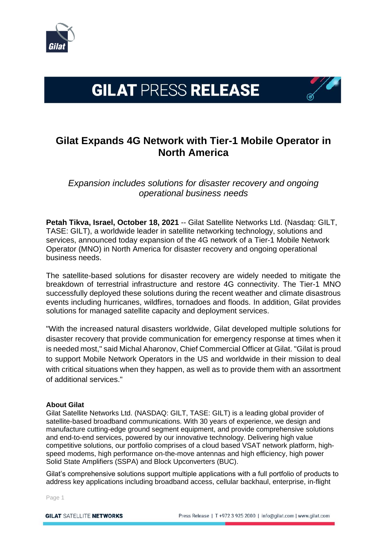

## **GILAT PRESS RELEASE**

## **Gilat Expands 4G Network with Tier-1 Mobile Operator in North America**

*Expansion includes solutions for disaster recovery and ongoing operational business needs*

**Petah Tikva, Israel, October 18, 2021** -- Gilat Satellite Networks Ltd. (Nasdaq: GILT, TASE: GILT), a worldwide leader in satellite networking technology, solutions and services, announced today expansion of the 4G network of a Tier-1 Mobile Network Operator (MNO) in North America for disaster recovery and ongoing operational business needs.

The satellite-based solutions for disaster recovery are widely needed to mitigate the breakdown of terrestrial infrastructure and restore 4G connectivity. The Tier-1 MNO successfully deployed these solutions during the recent weather and climate disastrous events including hurricanes, wildfires, tornadoes and floods. In addition, Gilat provides solutions for managed satellite capacity and deployment services.

"With the increased natural disasters worldwide, Gilat developed multiple solutions for disaster recovery that provide communication for emergency response at times when it is needed most," said Michal Aharonov, Chief Commercial Officer at Gilat. "Gilat is proud to support Mobile Network Operators in the US and worldwide in their mission to deal with critical situations when they happen, as well as to provide them with an assortment of additional services."

## **About Gilat**

Gilat Satellite Networks Ltd. (NASDAQ: GILT, TASE: GILT) is a leading global provider of satellite-based broadband communications. With 30 years of experience, we design and manufacture cutting-edge ground segment equipment, and provide comprehensive solutions and end-to-end services, powered by our innovative technology. Delivering high value competitive solutions, our portfolio comprises of a cloud based VSAT network platform, highspeed modems, high performance on-the-move antennas and high efficiency, high power Solid State Amplifiers (SSPA) and Block Upconverters (BUC).

Gilat's comprehensive solutions support multiple applications with a full portfolio of products to address key applications including broadband access, cellular backhaul, enterprise, in-flight

Page 1